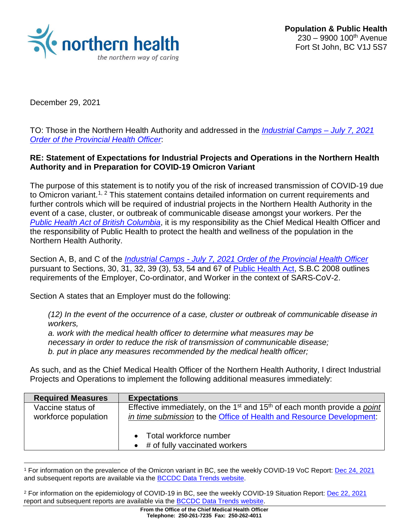

December 29, 2021

 $\overline{a}$ 

TO: Those in the Northern Health Authority and addressed in the *[Industrial Camps –](https://www2.gov.bc.ca/assets/gov/health/about-bc-s-health-care-system/office-of-the-provincial-health-officer/covid-19/covid-19-pho-order-industrial-camps.pdf) July 7, 2021 [Order of the Provincial Health Officer](https://www2.gov.bc.ca/assets/gov/health/about-bc-s-health-care-system/office-of-the-provincial-health-officer/covid-19/covid-19-pho-order-industrial-camps.pdf)*:

#### **RE: Statement of Expectations for Industrial Projects and Operations in the Northern Health Authority and in Preparation for COVID-19 Omicron Variant**

The purpose of this statement is to notify you of the risk of increased transmission of COVID-19 due to Omicron variant.<sup>[1](#page-0-0), [2](#page-0-1)</sup> This statement contains detailed information on current requirements and further controls which will be required of industrial projects in the Northern Health Authority in the event of a case, cluster, or outbreak of communicable disease amongst your workers. Per the *[Public Health Act of British Columbia](https://www.bclaws.gov.bc.ca/civix/document/id/complete/statreg/08028_01)*, it is my responsibility as the Chief Medical Health Officer and the responsibility of Public Health to protect the health and wellness of the population in the Northern Health Authority.

Section A, B, and C of the *Industrial Camps - [July 7, 2021 Order of the Provincial Health Officer](https://www2.gov.bc.ca/assets/gov/health/about-bc-s-health-care-system/office-of-the-provincial-health-officer/covid-19/covid-19-pho-order-industrial-camps.pdf)* pursuant to Sections, 30, 31, 32, 39 (3), 53, 54 and 67 of Public [Health Act,](https://www.bclaws.gov.bc.ca/civix/document/id/complete/statreg/08028_01) S.B.C 2008 outlines requirements of the Employer, Co-ordinator, and Worker in the context of SARS-CoV-2.

Section A states that an Employer must do the following:

*(12) In the event of the occurrence of a case, cluster or outbreak of communicable disease in workers,* 

*a. work with the medical health officer to determine what measures may be necessary in order to reduce the risk of transmission of communicable disease; b. put in place any measures recommended by the medical health officer;*

As such, and as the Chief Medical Health Officer of the Northern Health Authority, I direct Industrial Projects and Operations to implement the following additional measures immediately:

| <b>Required Measures</b>                  | <b>Expectations</b>                                                                                                                                                             |
|-------------------------------------------|---------------------------------------------------------------------------------------------------------------------------------------------------------------------------------|
| Vaccine status of<br>workforce population | Effective immediately, on the 1 <sup>st</sup> and 15 <sup>th</sup> of each month provide a <i>point</i><br>in time submission to the Office of Health and Resource Development: |
|                                           | • Total workforce number<br>$\bullet$ # of fully vaccinated workers                                                                                                             |

<span id="page-0-0"></span><sup>1</sup> For information on the prevalence of the Omicron variant in BC, see the weekly COVID-19 VoC Report: [Dec 24, 2021](http://www.bccdc.ca/Health-Info-Site/Documents/VoC/VoC_Weekly_20211224.pdf) and subsequent reports are available via the [BCCDC Data Trends website.](http://www.bccdc.ca/health-info/diseases-conditions/covid-19/data-trends)

<span id="page-0-1"></span><sup>2</sup> For information on the epidemiology of COVID-19 in BC, see the weekly COVID-19 Situation Report: [Dec 22, 2021](http://www.bccdc.ca/Health-Info-Site/Documents/COVID_sitrep/Week_49_2021_BC_COVID-19_Situation_Report.pdf) report and subsequent reports are available via the [BCCDC Data Trends website.](http://www.bccdc.ca/health-info/diseases-conditions/covid-19/data-trends)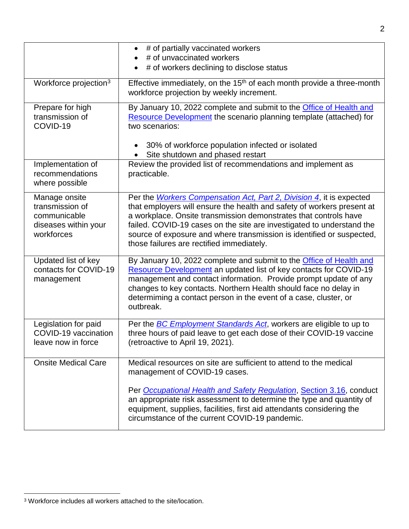|                                                                                        | • # of partially vaccinated workers<br># of unvaccinated workers<br># of workers declining to disclose status<br>$\bullet$                                                                                                                                                                                                                                                                                                |
|----------------------------------------------------------------------------------------|---------------------------------------------------------------------------------------------------------------------------------------------------------------------------------------------------------------------------------------------------------------------------------------------------------------------------------------------------------------------------------------------------------------------------|
| Workforce projection <sup>3</sup>                                                      | Effective immediately, on the 15 <sup>th</sup> of each month provide a three-month<br>workforce projection by weekly increment.                                                                                                                                                                                                                                                                                           |
| Prepare for high<br>transmission of<br>COVID-19                                        | By January 10, 2022 complete and submit to the <b>Office of Health and</b><br>Resource Development the scenario planning template (attached) for<br>two scenarios:                                                                                                                                                                                                                                                        |
|                                                                                        | 30% of workforce population infected or isolated<br>Site shutdown and phased restart<br>$\bullet$                                                                                                                                                                                                                                                                                                                         |
| Implementation of<br>recommendations<br>where possible                                 | Review the provided list of recommendations and implement as<br>practicable.                                                                                                                                                                                                                                                                                                                                              |
| Manage onsite<br>transmission of<br>communicable<br>diseases within your<br>workforces | Per the <i>Workers Compensation Act, Part 2, Division 4</i> , it is expected<br>that employers will ensure the health and safety of workers present at<br>a workplace. Onsite transmission demonstrates that controls have<br>failed. COVID-19 cases on the site are investigated to understand the<br>source of exposure and where transmission is identified or suspected,<br>those failures are rectified immediately. |
| Updated list of key<br>contacts for COVID-19<br>management                             | By January 10, 2022 complete and submit to the <b>Office of Health and</b><br>Resource Development an updated list of key contacts for COVID-19<br>management and contact information. Provide prompt update of any<br>changes to key contacts. Northern Health should face no delay in<br>determiming a contact person in the event of a case, cluster, or<br>outbreak.                                                  |
| Legislation for paid<br>COVID-19 vaccination<br>leave now in force                     | Per the <b>BC Employment Standards Act</b> , workers are eligible to up to<br>three hours of paid leave to get each dose of their COVID-19 vaccine<br>(retroactive to April 19, 2021).                                                                                                                                                                                                                                    |
| <b>Onsite Medical Care</b>                                                             | Medical resources on site are sufficient to attend to the medical<br>management of COVID-19 cases.                                                                                                                                                                                                                                                                                                                        |
|                                                                                        | Per Occupational Health and Safety Regulation, Section 3.16, conduct<br>an appropriate risk assessment to determine the type and quantity of<br>equipment, supplies, facilities, first aid attendants considering the<br>circumstance of the current COVID-19 pandemic.                                                                                                                                                   |

 $\overline{a}$ 

<span id="page-1-0"></span><sup>3</sup> Workforce includes all workers attached to the site/location.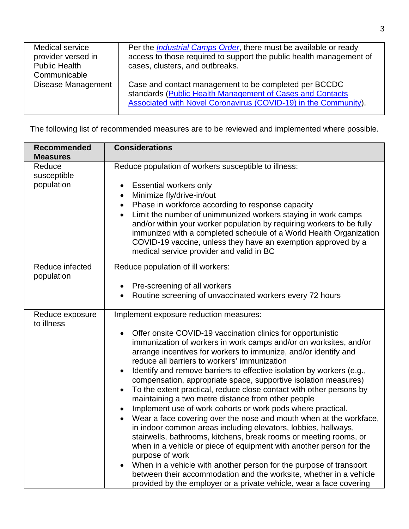| Medical service<br>provider versed in<br><b>Public Health</b><br>Communicable | Per the <i>Industrial Camps Order</i> , there must be available or ready<br>access to those required to support the public health management of<br>cases, clusters, and outbreaks.    |
|-------------------------------------------------------------------------------|---------------------------------------------------------------------------------------------------------------------------------------------------------------------------------------|
| Disease Management                                                            | Case and contact management to be completed per BCCDC<br>standards (Public Health Management of Cases and Contacts<br>Associated with Novel Coronavirus (COVID-19) in the Community). |

The following list of recommended measures are to be reviewed and implemented where possible.

| <b>Recommended</b><br><b>Measures</b> | <b>Considerations</b>                                                                                                                                                                                                                                                                                                                                                                                                                                                                                                                                                                                                                                                                                                                                                                                                                                                                                                                                                                                                                                                                                                                                                                                  |
|---------------------------------------|--------------------------------------------------------------------------------------------------------------------------------------------------------------------------------------------------------------------------------------------------------------------------------------------------------------------------------------------------------------------------------------------------------------------------------------------------------------------------------------------------------------------------------------------------------------------------------------------------------------------------------------------------------------------------------------------------------------------------------------------------------------------------------------------------------------------------------------------------------------------------------------------------------------------------------------------------------------------------------------------------------------------------------------------------------------------------------------------------------------------------------------------------------------------------------------------------------|
| Reduce<br>susceptible                 | Reduce population of workers susceptible to illness:                                                                                                                                                                                                                                                                                                                                                                                                                                                                                                                                                                                                                                                                                                                                                                                                                                                                                                                                                                                                                                                                                                                                                   |
| population                            | <b>Essential workers only</b><br>Minimize fly/drive-in/out<br>$\bullet$<br>Phase in workforce according to response capacity<br>$\bullet$<br>Limit the number of unimmunized workers staying in work camps<br>$\bullet$<br>and/or within your worker population by requiring workers to be fully<br>immunized with a completed schedule of a World Health Organization<br>COVID-19 vaccine, unless they have an exemption approved by a<br>medical service provider and valid in BC                                                                                                                                                                                                                                                                                                                                                                                                                                                                                                                                                                                                                                                                                                                    |
| Reduce infected<br>population         | Reduce population of ill workers:<br>Pre-screening of all workers<br>Routine screening of unvaccinated workers every 72 hours                                                                                                                                                                                                                                                                                                                                                                                                                                                                                                                                                                                                                                                                                                                                                                                                                                                                                                                                                                                                                                                                          |
| Reduce exposure<br>to illness         | Implement exposure reduction measures:<br>Offer onsite COVID-19 vaccination clinics for opportunistic<br>immunization of workers in work camps and/or on worksites, and/or<br>arrange incentives for workers to immunize, and/or identify and<br>reduce all barriers to workers' immunization<br>Identify and remove barriers to effective isolation by workers (e.g.,<br>$\bullet$<br>compensation, appropriate space, supportive isolation measures)<br>To the extent practical, reduce close contact with other persons by<br>$\bullet$<br>maintaining a two metre distance from other people<br>Implement use of work cohorts or work pods where practical.<br>Wear a face covering over the nose and mouth when at the workface,<br>$\bullet$<br>in indoor common areas including elevators, lobbies, hallways,<br>stairwells, bathrooms, kitchens, break rooms or meeting rooms, or<br>when in a vehicle or piece of equipment with another person for the<br>purpose of work<br>When in a vehicle with another person for the purpose of transport<br>between their accommodation and the worksite, whether in a vehicle<br>provided by the employer or a private vehicle, wear a face covering |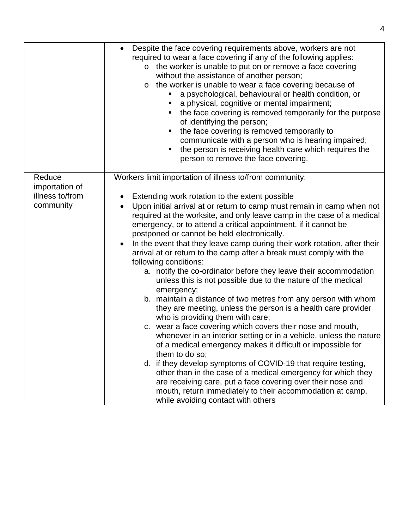|                 | Despite the face covering requirements above, workers are not<br>required to wear a face covering if any of the following applies:<br>o the worker is unable to put on or remove a face covering<br>without the assistance of another person;<br>the worker is unable to wear a face covering because of<br>$\circ$<br>a psychological, behavioural or health condition, or<br>a physical, cognitive or mental impairment;<br>п<br>the face covering is removed temporarily for the purpose<br>٠<br>of identifying the person;<br>the face covering is removed temporarily to<br>communicate with a person who is hearing impaired;<br>the person is receiving health care which requires the<br>п<br>person to remove the face covering. |
|-----------------|-------------------------------------------------------------------------------------------------------------------------------------------------------------------------------------------------------------------------------------------------------------------------------------------------------------------------------------------------------------------------------------------------------------------------------------------------------------------------------------------------------------------------------------------------------------------------------------------------------------------------------------------------------------------------------------------------------------------------------------------|
| Reduce          | Workers limit importation of illness to/from community:                                                                                                                                                                                                                                                                                                                                                                                                                                                                                                                                                                                                                                                                                   |
| importation of  |                                                                                                                                                                                                                                                                                                                                                                                                                                                                                                                                                                                                                                                                                                                                           |
| illness to/from | Extending work rotation to the extent possible                                                                                                                                                                                                                                                                                                                                                                                                                                                                                                                                                                                                                                                                                            |
| community       | Upon initial arrival at or return to camp must remain in camp when not<br>required at the worksite, and only leave camp in the case of a medical<br>emergency, or to attend a critical appointment, if it cannot be<br>postponed or cannot be held electronically.                                                                                                                                                                                                                                                                                                                                                                                                                                                                        |
|                 | In the event that they leave camp during their work rotation, after their<br>$\bullet$<br>arrival at or return to the camp after a break must comply with the<br>following conditions:                                                                                                                                                                                                                                                                                                                                                                                                                                                                                                                                                    |
|                 | a. notify the co-ordinator before they leave their accommodation<br>unless this is not possible due to the nature of the medical<br>emergency;                                                                                                                                                                                                                                                                                                                                                                                                                                                                                                                                                                                            |
|                 | b. maintain a distance of two metres from any person with whom<br>they are meeting, unless the person is a health care provider<br>who is providing them with care;                                                                                                                                                                                                                                                                                                                                                                                                                                                                                                                                                                       |
|                 | c. wear a face covering which covers their nose and mouth,<br>whenever in an interior setting or in a vehicle, unless the nature<br>of a medical emergency makes it difficult or impossible for<br>them to do so;                                                                                                                                                                                                                                                                                                                                                                                                                                                                                                                         |
|                 | d. if they develop symptoms of COVID-19 that require testing,<br>other than in the case of a medical emergency for which they<br>are receiving care, put a face covering over their nose and<br>mouth, return immediately to their accommodation at camp,                                                                                                                                                                                                                                                                                                                                                                                                                                                                                 |
|                 | while avoiding contact with others                                                                                                                                                                                                                                                                                                                                                                                                                                                                                                                                                                                                                                                                                                        |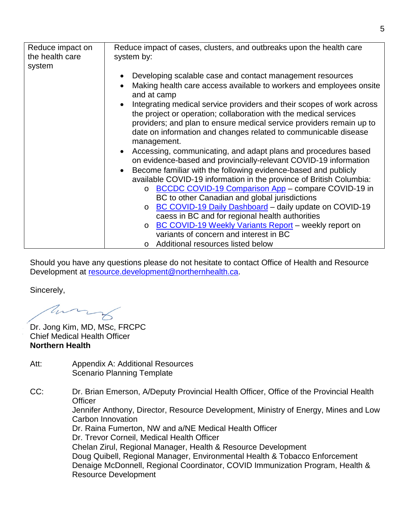| Reduce impact on<br>the health care<br>system | Reduce impact of cases, clusters, and outbreaks upon the health care<br>system by:                                                                      |
|-----------------------------------------------|---------------------------------------------------------------------------------------------------------------------------------------------------------|
|                                               | Developing scalable case and contact management resources<br>$\bullet$                                                                                  |
|                                               | Making health care access available to workers and employees onsite<br>$\bullet$<br>and at camp                                                         |
|                                               | Integrating medical service providers and their scopes of work across<br>$\bullet$<br>the project or operation; collaboration with the medical services |
|                                               | providers; and plan to ensure medical service providers remain up to<br>date on information and changes related to communicable disease                 |
|                                               | management.                                                                                                                                             |
|                                               | Accessing, communicating, and adapt plans and procedures based<br>$\bullet$                                                                             |
|                                               | on evidence-based and provincially-relevant COVID-19 information                                                                                        |
|                                               | Become familiar with the following evidence-based and publicly<br>$\bullet$<br>available COVID-19 information in the province of British Columbia:      |
|                                               | BCCDC COVID-19 Comparison App - compare COVID-19 in<br>$\circ$                                                                                          |
|                                               | BC to other Canadian and global jurisdictions                                                                                                           |
|                                               | BC COVID-19 Daily Dashboard - daily update on COVID-19<br>$\circ$                                                                                       |
|                                               | caess in BC and for regional health authorities                                                                                                         |
|                                               | o BC COVID-19 Weekly Variants Report - weekly report on                                                                                                 |
|                                               | variants of concern and interest in BC                                                                                                                  |
|                                               | o Additional resources listed below                                                                                                                     |

Should you have any questions please do not hesitate to contact Office of Health and Resource Development at [resource.development@northernhealth.ca.](mailto:resource.development@northernhealth.ca)

Sincerely,

ann

Dr. Jong Kim, MD, MSc, FRCPC Chief Medical Health Officer **Northern Health** 

Att: Appendix A: Additional Resources Scenario Planning Template

CC: Dr. Brian Emerson, A/Deputy Provincial Health Officer, Office of the Provincial Health **Officer** 

Jennifer Anthony, Director, Resource Development, Ministry of Energy, Mines and Low Carbon Innovation

Dr. Raina Fumerton, NW and a/NE Medical Health Officer

Dr. Trevor Corneil, Medical Health Officer

Chelan Zirul, Regional Manager, Health & Resource Development Doug Quibell, Regional Manager, Environmental Health & Tobacco Enforcement Denaige McDonnell, Regional Coordinator, COVID Immunization Program, Health & Resource Development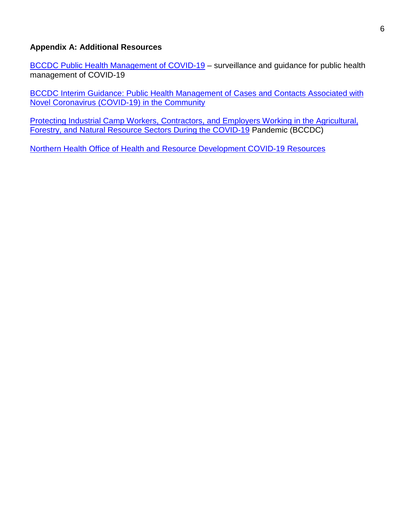#### **Appendix A: Additional Resources**

[BCCDC Public Health Management of COVID-19](http://www.bccdc.ca/health-professionals/clinical-resources/covid-19-care/public-health-management) - surveillance and guidance for public health management of COVID-19

**BCCDC Interim Guidance: Public Health Management of Cases and Contacts Associated with** [Novel Coronavirus \(COVID-19\) in the Community](http://www.bccdc.ca/resource-gallery/Documents/Guidelines%20and%20Forms/Guidelines%20and%20Manuals/Epid/CD%20Manual/Chapter%201%20-%20CDC/COVID-19_Public_Health_Guidance.pdf)

[Protecting Industrial Camp Workers, Contractors, and Employers Working in the Agricultural,](http://www.bccdc.ca/Health-Info-Site/Documents/COVID_public_guidance/All-sector-work-camps-guidance.pdf)  [Forestry, and Natural Resource Sectors During the COVID-19](http://www.bccdc.ca/Health-Info-Site/Documents/COVID_public_guidance/All-sector-work-camps-guidance.pdf) Pandemic (BCCDC)

[Northern Health Office of Health and Resource](https://www.northernhealth.ca/services/programs/office-health-and-resource-development#guidance-documents) Development COVID-19 Resources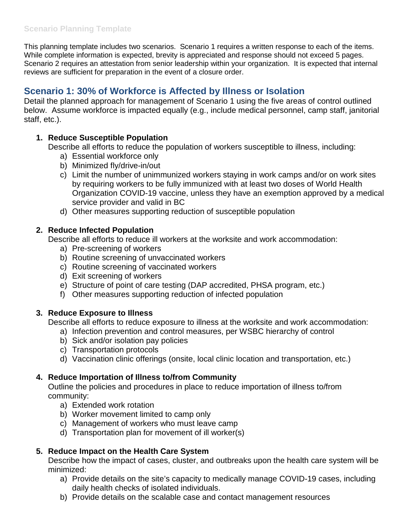This planning template includes two scenarios. Scenario 1 requires a written response to each of the items. While complete information is expected, brevity is appreciated and response should not exceed 5 pages. Scenario 2 requires an attestation from senior leadership within your organization. It is expected that internal reviews are sufficient for preparation in the event of a closure order.

# **Scenario 1: 30% of Workforce is Affected by Illness or Isolation**

Detail the planned approach for management of Scenario 1 using the five areas of control outlined below. Assume workforce is impacted equally (e.g., include medical personnel, camp staff, janitorial staff, etc.).

### **1. Reduce Susceptible Population**

Describe all efforts to reduce the population of workers susceptible to illness, including:

- a) Essential workforce only
- b) Minimized fly/drive-in/out
- c) Limit the number of unimmunized workers staying in work camps and/or on work sites by requiring workers to be fully immunized with at least two doses of World Health Organization COVID-19 vaccine, unless they have an exemption approved by a medical service provider and valid in BC
- d) Other measures supporting reduction of susceptible population

### **2. Reduce Infected Population**

Describe all efforts to reduce ill workers at the worksite and work accommodation:

- a) Pre-screening of workers
- b) Routine screening of unvaccinated workers
- c) Routine screening of vaccinated workers
- d) Exit screening of workers
- e) Structure of point of care testing (DAP accredited, PHSA program, etc.)
- f) Other measures supporting reduction of infected population

### **3. Reduce Exposure to Illness**

Describe all efforts to reduce exposure to illness at the worksite and work accommodation:

- a) Infection prevention and control measures, per WSBC hierarchy of control
- b) Sick and/or isolation pay policies
- c) Transportation protocols
- d) Vaccination clinic offerings (onsite, local clinic location and transportation, etc.)

# **4. Reduce Importation of Illness to/from Community**

Outline the policies and procedures in place to reduce importation of illness to/from community:

- a) Extended work rotation
- b) Worker movement limited to camp only
- c) Management of workers who must leave camp
- d) Transportation plan for movement of ill worker(s)

# **5. Reduce Impact on the Health Care System**

Describe how the impact of cases, cluster, and outbreaks upon the health care system will be minimized:

- a) Provide details on the site's capacity to medically manage COVID-19 cases, including daily health checks of isolated individuals.
- b) Provide details on the scalable case and contact management resources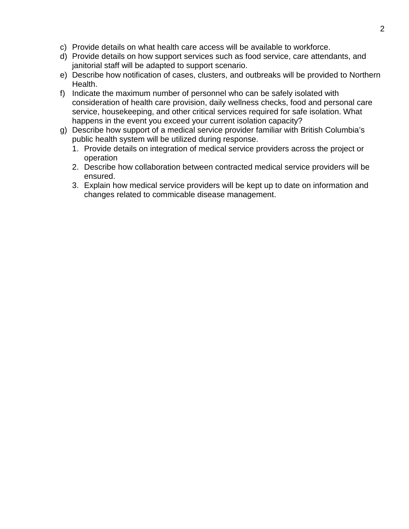- c) Provide details on what health care access will be available to workforce.
- d) Provide details on how support services such as food service, care attendants, and janitorial staff will be adapted to support scenario.
- e) Describe how notification of cases, clusters, and outbreaks will be provided to Northern Health.
- f) Indicate the maximum number of personnel who can be safely isolated with consideration of health care provision, daily wellness checks, food and personal care service, housekeeping, and other critical services required for safe isolation. What happens in the event you exceed your current isolation capacity?
- g) Describe how support of a medical service provider familiar with British Columbia's public health system will be utilized during response.
	- 1. Provide details on integration of medical service providers across the project or operation
	- 2. Describe how collaboration between contracted medical service providers will be ensured.
	- 3. Explain how medical service providers will be kept up to date on information and changes related to commicable disease management.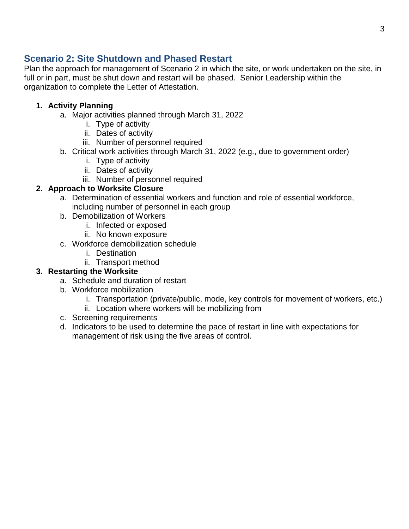# **Scenario 2: Site Shutdown and Phased Restart**

Plan the approach for management of Scenario 2 in which the site, or work undertaken on the site, in full or in part, must be shut down and restart will be phased. Senior Leadership within the organization to complete the Letter of Attestation.

### **1. Activity Planning**

- a. Major activities planned through March 31, 2022
	- i. Type of activity
	- ii. Dates of activity
	- iii. Number of personnel required
- b. Critical work activities through March 31, 2022 (e.g., due to government order)
	- i. Type of activity
	- ii. Dates of activity
	- iii. Number of personnel required

### **2. Approach to Worksite Closure**

- a. Determination of essential workers and function and role of essential workforce, including number of personnel in each group
- b. Demobilization of Workers
	- i. Infected or exposed
	- ii. No known exposure
- c. Workforce demobilization schedule
	- i. Destination
	- ii. Transport method

### **3. Restarting the Worksite**

- a. Schedule and duration of restart
- b. Workforce mobilization
	- i. Transportation (private/public, mode, key controls for movement of workers, etc.)
	- ii. Location where workers will be mobilizing from
- c. Screening requirements
- d. Indicators to be used to determine the pace of restart in line with expectations for management of risk using the five areas of control.